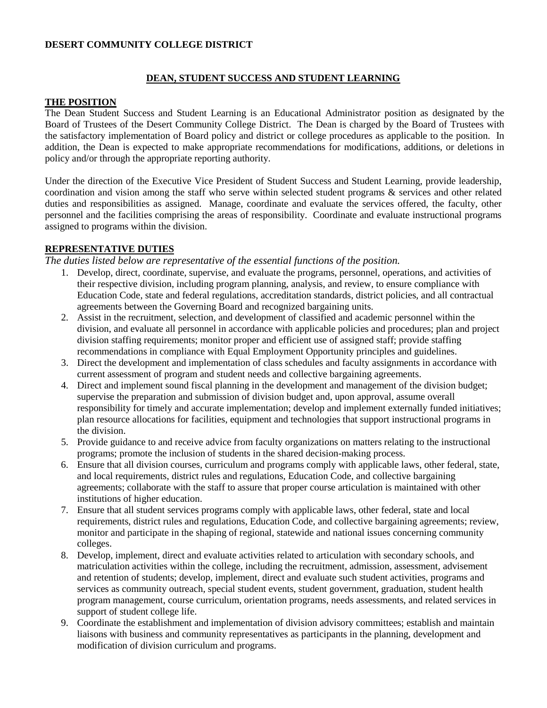# **DESERT COMMUNITY COLLEGE DISTRICT**

## **DEAN, STUDENT SUCCESS AND STUDENT LEARNING**

## **THE POSITION**

The Dean Student Success and Student Learning is an Educational Administrator position as designated by the Board of Trustees of the Desert Community College District. The Dean is charged by the Board of Trustees with the satisfactory implementation of Board policy and district or college procedures as applicable to the position. In addition, the Dean is expected to make appropriate recommendations for modifications, additions, or deletions in policy and/or through the appropriate reporting authority.

Under the direction of the Executive Vice President of Student Success and Student Learning, provide leadership, coordination and vision among the staff who serve within selected student programs & services and other related duties and responsibilities as assigned. Manage, coordinate and evaluate the services offered, the faculty, other personnel and the facilities comprising the areas of responsibility. Coordinate and evaluate instructional programs assigned to programs within the division.

## **REPRESENTATIVE DUTIES**

*The duties listed below are representative of the essential functions of the position.*

- 1. Develop, direct, coordinate, supervise, and evaluate the programs, personnel, operations, and activities of their respective division, including program planning, analysis, and review, to ensure compliance with Education Code, state and federal regulations, accreditation standards, district policies, and all contractual agreements between the Governing Board and recognized bargaining units.
- 2. Assist in the recruitment, selection, and development of classified and academic personnel within the division, and evaluate all personnel in accordance with applicable policies and procedures; plan and project division staffing requirements; monitor proper and efficient use of assigned staff; provide staffing recommendations in compliance with Equal Employment Opportunity principles and guidelines.
- 3. Direct the development and implementation of class schedules and faculty assignments in accordance with current assessment of program and student needs and collective bargaining agreements.
- 4. Direct and implement sound fiscal planning in the development and management of the division budget; supervise the preparation and submission of division budget and, upon approval, assume overall responsibility for timely and accurate implementation; develop and implement externally funded initiatives; plan resource allocations for facilities, equipment and technologies that support instructional programs in the division.
- 5. Provide guidance to and receive advice from faculty organizations on matters relating to the instructional programs; promote the inclusion of students in the shared decision-making process.
- 6. Ensure that all division courses, curriculum and programs comply with applicable laws, other federal, state, and local requirements, district rules and regulations, Education Code, and collective bargaining agreements; collaborate with the staff to assure that proper course articulation is maintained with other institutions of higher education.
- 7. Ensure that all student services programs comply with applicable laws, other federal, state and local requirements, district rules and regulations, Education Code, and collective bargaining agreements; review, monitor and participate in the shaping of regional, statewide and national issues concerning community colleges.
- 8. Develop, implement, direct and evaluate activities related to articulation with secondary schools, and matriculation activities within the college, including the recruitment, admission, assessment, advisement and retention of students; develop, implement, direct and evaluate such student activities, programs and services as community outreach, special student events, student government, graduation, student health program management, course curriculum, orientation programs, needs assessments, and related services in support of student college life.
- 9. Coordinate the establishment and implementation of division advisory committees; establish and maintain liaisons with business and community representatives as participants in the planning, development and modification of division curriculum and programs.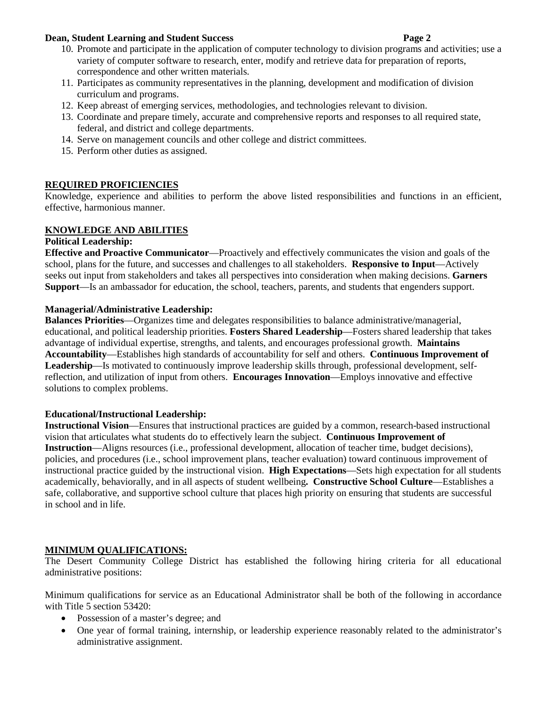#### **Dean, Student Learning and Student Success Page 2**

# 10. Promote and participate in the application of computer technology to division programs and activities; use a variety of computer software to research, enter, modify and retrieve data for preparation of reports, correspondence and other written materials.

- 11. Participates as community representatives in the planning, development and modification of division curriculum and programs.
- 12. Keep abreast of emerging services, methodologies, and technologies relevant to division.
- 13. Coordinate and prepare timely, accurate and comprehensive reports and responses to all required state, federal, and district and college departments.
- 14. Serve on management councils and other college and district committees.
- 15. Perform other duties as assigned.

## **REQUIRED PROFICIENCIES**

Knowledge, experience and abilities to perform the above listed responsibilities and functions in an efficient, effective, harmonious manner.

## **KNOWLEDGE AND ABILITIES**

## **Political Leadership:**

**Effective and Proactive Communicator**—Proactively and effectively communicates the vision and goals of the school, plans for the future, and successes and challenges to all stakeholders. **Responsive to Input**—Actively seeks out input from stakeholders and takes all perspectives into consideration when making decisions. **Garners Support**—Is an ambassador for education, the school, teachers, parents, and students that engenders support.

## **Managerial/Administrative Leadership:**

**Balances Priorities**—Organizes time and delegates responsibilities to balance administrative/managerial, educational, and political leadership priorities. **Fosters Shared Leadership**—Fosters shared leadership that takes advantage of individual expertise, strengths, and talents, and encourages professional growth. **Maintains Accountability**—Establishes high standards of accountability for self and others. **Continuous Improvement of Leadership**—Is motivated to continuously improve leadership skills through, professional development, selfreflection, and utilization of input from others. **Encourages Innovation**—Employs innovative and effective solutions to complex problems.

## **Educational/Instructional Leadership:**

**Instructional Vision**—Ensures that instructional practices are guided by a common, research-based instructional vision that articulates what students do to effectively learn the subject. **Continuous Improvement of Instruction**—Aligns resources (i.e., professional development, allocation of teacher time, budget decisions), policies, and procedures (i.e., school improvement plans, teacher evaluation) toward continuous improvement of instructional practice guided by the instructional vision. **High Expectations**—Sets high expectation for all students academically, behaviorally, and in all aspects of student wellbeing**. Constructive School Culture**—Establishes a safe, collaborative, and supportive school culture that places high priority on ensuring that students are successful in school and in life.

## **MINIMUM QUALIFICATIONS:**

The Desert Community College District has established the following hiring criteria for all educational administrative positions:

Minimum qualifications for service as an Educational Administrator shall be both of the following in accordance with Title 5 section 53420:

- Possession of a master's degree; and
- One year of formal training, internship, or leadership experience reasonably related to the administrator's administrative assignment.